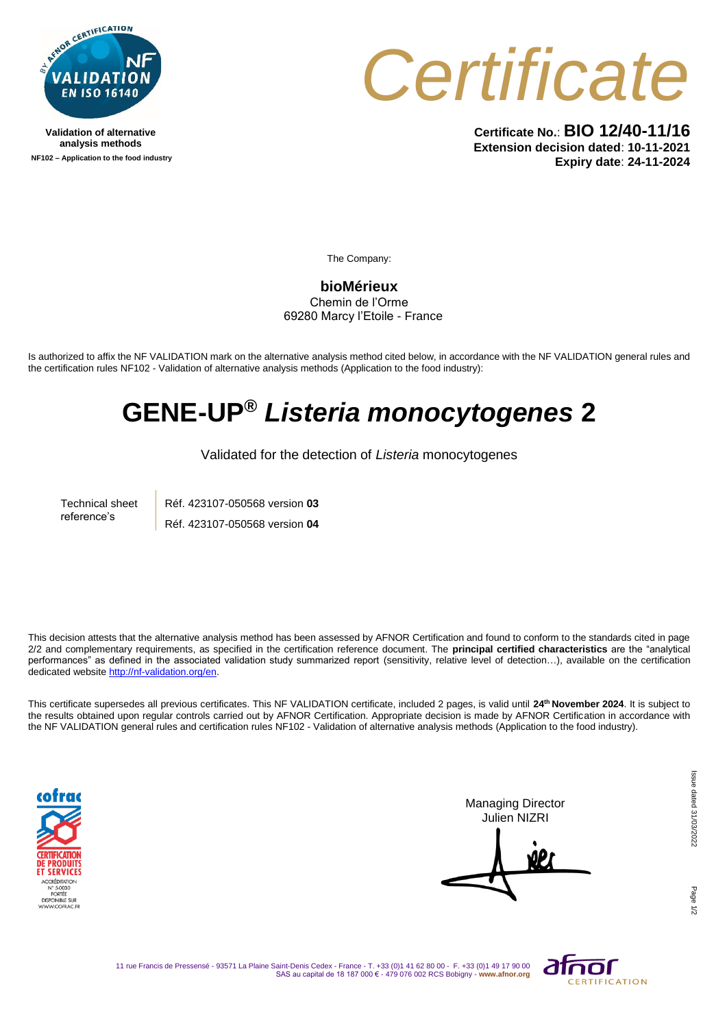

**Validation of alternative analysis methods NF102 – Application to the food industry**



**Certificate No.**: **BIO 12/40-11/16 Extension decision dated**: **10-11-2021 Expiry date**: **24-11-2024**

The Company:

**bioMérieux** Chemin de l'Orme 69280 Marcy l'Etoile - France

Is authorized to affix the NF VALIDATION mark on the alternative analysis method cited below, in accordance with the NF VALIDATION general rules and the certification rules NF102 - Validation of alternative analysis methods (Application to the food industry):

## **GENE-UP®** *Listeria monocytogenes* **2**

Validated for the detection of *Listeria* monocytogenes

Technical sheet reference's Réf. 423107-050568 version **03** Réf. 423107-050568 version **04**

This decision attests that the alternative analysis method has been assessed by AFNOR Certification and found to conform to the standards cited in page 2/2 and complementary requirements, as specified in the certification reference document. The **principal certified characteristics** are the "analytical performances" as defined in the associated validation study summarized report (sensitivity, relative level of detection...), available on the certification dedicated websit[e http://nf-validation.org/en.](http://nf-validation.org/en)

This certificate supersedes all previous certificates. This NF VALIDATION certificate, included 2 pages, is valid until **24 th November 2024**. It is subject to the results obtained upon regular controls carried out by AFNOR Certification. Appropriate decision is made by AFNOR Certification in accordance with the NF VALIDATION general rules and certification rules NF102 - Validation of alternative analysis methods (Application to the food industry).



Managing Director Julien NIZRI

Page